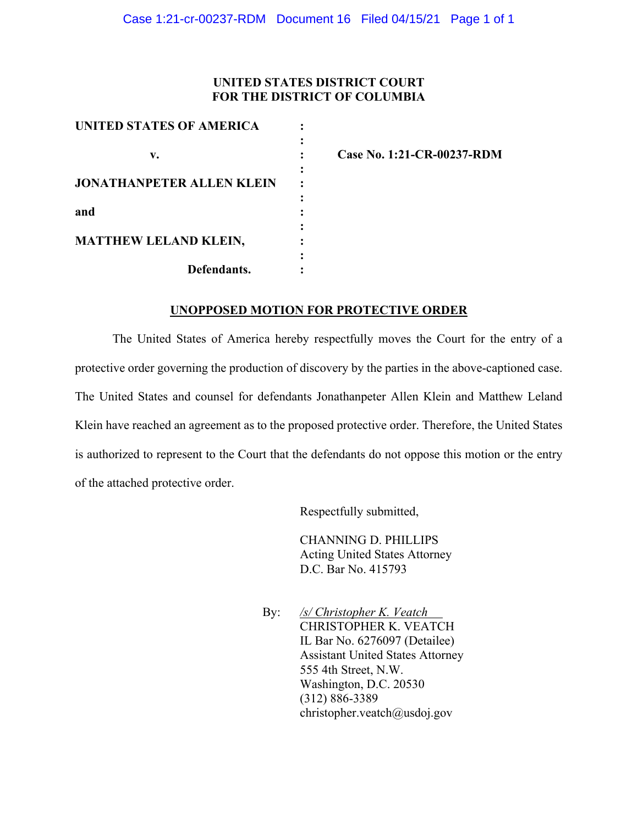### **UNITED STATES DISTRICT COURT FOR THE DISTRICT OF COLUMBIA**

| <b>UNITED STATES OF AMERICA</b>  |  |
|----------------------------------|--|
|                                  |  |
| v.                               |  |
|                                  |  |
| <b>JONATHANPETER ALLEN KLEIN</b> |  |
|                                  |  |
| and                              |  |
|                                  |  |
| <b>MATTHEW LELAND KLEIN,</b>     |  |
|                                  |  |
| Defendants.                      |  |

**v. : Case No. 1:21-CR-00237-RDM**

# **UNOPPOSED MOTION FOR PROTECTIVE ORDER**

The United States of America hereby respectfully moves the Court for the entry of a protective order governing the production of discovery by the parties in the above-captioned case. The United States and counsel for defendants Jonathanpeter Allen Klein and Matthew Leland Klein have reached an agreement as to the proposed protective order. Therefore, the United States is authorized to represent to the Court that the defendants do not oppose this motion or the entry of the attached protective order.

Respectfully submitted,

CHANNING D. PHILLIPS Acting United States Attorney D.C. Bar No. 415793

By: */s/ Christopher K. Veatch*  CHRISTOPHER K. VEATCH IL Bar No. 6276097 (Detailee) Assistant United States Attorney 555 4th Street, N.W. Washington, D.C. 20530 (312) 886-3389 christopher.veatch@usdoj.gov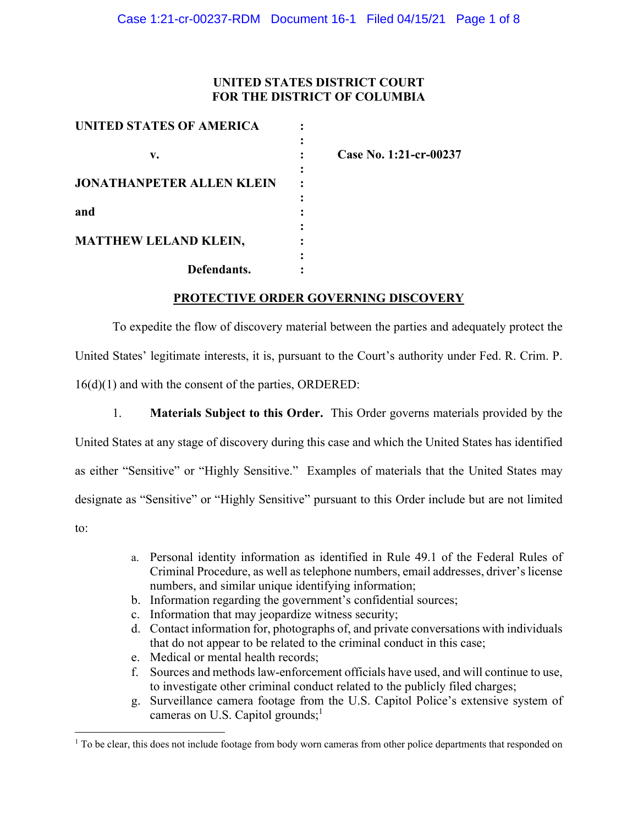## **UNITED STATES DISTRICT COURT FOR THE DISTRICT OF COLUMBIA**

| UNITED STATES OF AMERICA         |                        |
|----------------------------------|------------------------|
|                                  |                        |
| v.                               | Case No. 1:21-cr-00237 |
|                                  |                        |
| <b>JONATHANPETER ALLEN KLEIN</b> |                        |
|                                  |                        |
| and                              |                        |
|                                  |                        |
| MATTHEW LELAND KLEIN,            |                        |
|                                  |                        |
| Defendants.                      |                        |

**PROTECTIVE ORDER GOVERNING DISCOVERY** 

To expedite the flow of discovery material between the parties and adequately protect the United States' legitimate interests, it is, pursuant to the Court's authority under Fed. R. Crim. P. 16(d)(1) and with the consent of the parties, ORDERED:

1. **Materials Subject to this Order.** This Order governs materials provided by the United States at any stage of discovery during this case and which the United States has identified as either "Sensitive" or "Highly Sensitive." Examples of materials that the United States may designate as "Sensitive" or "Highly Sensitive" pursuant to this Order include but are not limited to:

- a. Personal identity information as identified in Rule 49.1 of the Federal Rules of Criminal Procedure, as well as telephone numbers, email addresses, driver's license numbers, and similar unique identifying information;
- b. Information regarding the government's confidential sources;
- c. Information that may jeopardize witness security;
- d. Contact information for, photographs of, and private conversations with individuals that do not appear to be related to the criminal conduct in this case;
- e. Medical or mental health records;
- f. Sources and methods law-enforcement officials have used, and will continue to use, to investigate other criminal conduct related to the publicly filed charges;
- g. Surveillance camera footage from the U.S. Capitol Police's extensive system of cameras on U.S. Capitol grounds;<sup>1</sup>

<sup>&</sup>lt;sup>1</sup> To be clear, this does not include footage from body worn cameras from other police departments that responded on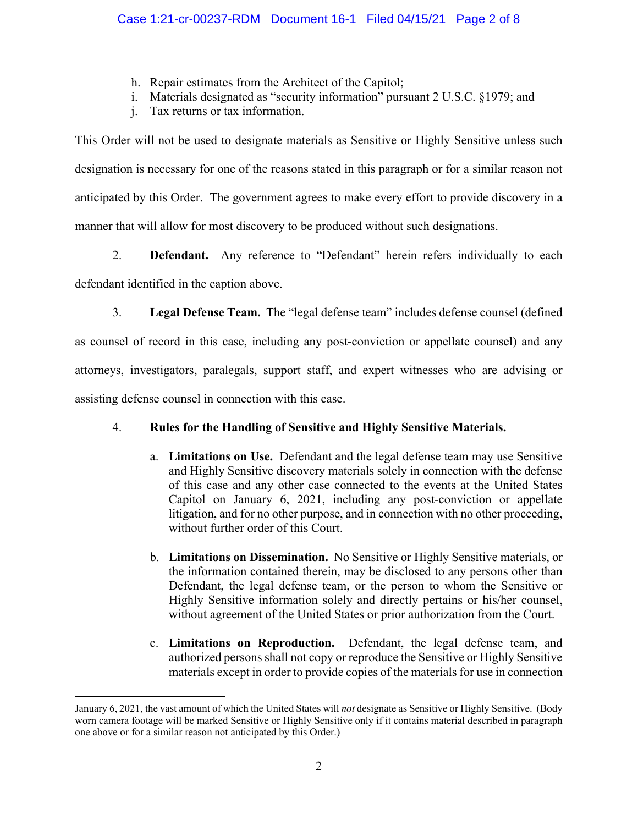- h. Repair estimates from the Architect of the Capitol;
- i. Materials designated as "security information" pursuant 2 U.S.C. §1979; and
- j. Tax returns or tax information.

This Order will not be used to designate materials as Sensitive or Highly Sensitive unless such designation is necessary for one of the reasons stated in this paragraph or for a similar reason not anticipated by this Order. The government agrees to make every effort to provide discovery in a manner that will allow for most discovery to be produced without such designations.

2. **Defendant.** Any reference to "Defendant" herein refers individually to each defendant identified in the caption above.

3. **Legal Defense Team.** The "legal defense team" includes defense counsel (defined as counsel of record in this case, including any post-conviction or appellate counsel) and any attorneys, investigators, paralegals, support staff, and expert witnesses who are advising or assisting defense counsel in connection with this case.

# 4. **Rules for the Handling of Sensitive and Highly Sensitive Materials.**

- a. **Limitations on Use.** Defendant and the legal defense team may use Sensitive and Highly Sensitive discovery materials solely in connection with the defense of this case and any other case connected to the events at the United States Capitol on January 6, 2021, including any post-conviction or appellate litigation, and for no other purpose, and in connection with no other proceeding, without further order of this Court.
- b. **Limitations on Dissemination.** No Sensitive or Highly Sensitive materials, or the information contained therein, may be disclosed to any persons other than Defendant, the legal defense team, or the person to whom the Sensitive or Highly Sensitive information solely and directly pertains or his/her counsel, without agreement of the United States or prior authorization from the Court.
- c. **Limitations on Reproduction.** Defendant, the legal defense team, and authorized persons shall not copy or reproduce the Sensitive or Highly Sensitive materials except in order to provide copies of the materials for use in connection

January 6, 2021, the vast amount of which the United States will *not* designate as Sensitive or Highly Sensitive. (Body worn camera footage will be marked Sensitive or Highly Sensitive only if it contains material described in paragraph one above or for a similar reason not anticipated by this Order.)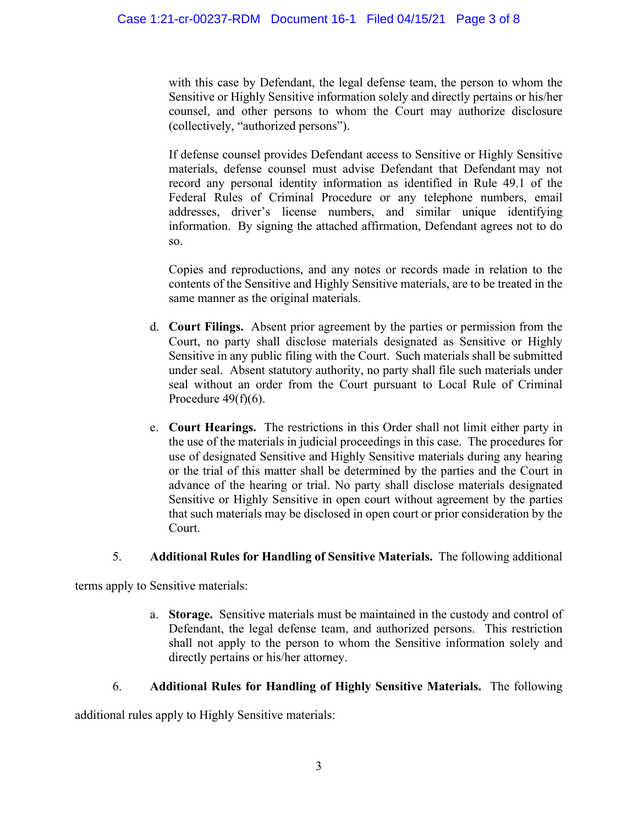with this case by Defendant, the legal defense team, the person to whom the Sensitive or Highly Sensitive information solely and directly pertains or his/her counsel, and other persons to whom the Court may authorize disclosure (collectively, "authorized persons").

If defense counsel provides Defendant access to Sensitive or Highly Sensitive materials, defense counsel must advise Defendant that Defendant may not record any personal identity information as identified in Rule 49.1 of the Federal Rules of Criminal Procedure or any telephone numbers, email addresses, driver's license numbers, and similar unique identifying information. By signing the attached affirmation, Defendant agrees not to do so.

Copies and reproductions, and any notes or records made in relation to the contents of the Sensitive and Highly Sensitive materials, are to be treated in the same manner as the original materials.

- d. **Court Filings.** Absent prior agreement by the parties or permission from the Court, no party shall disclose materials designated as Sensitive or Highly Sensitive in any public filing with the Court. Such materials shall be submitted under seal. Absent statutory authority, no party shall file such materials under seal without an order from the Court pursuant to Local Rule of Criminal Procedure  $49(f)(6)$ .
- e. **Court Hearings.** The restrictions in this Order shall not limit either party in the use of the materials in judicial proceedings in this case. The procedures for use of designated Sensitive and Highly Sensitive materials during any hearing or the trial of this matter shall be determined by the parties and the Court in advance of the hearing or trial. No party shall disclose materials designated Sensitive or Highly Sensitive in open court without agreement by the parties that such materials may be disclosed in open court or prior consideration by the Court.

# 5. **Additional Rules for Handling of Sensitive Materials.** The following additional

terms apply to Sensitive materials:

a. **Storage.** Sensitive materials must be maintained in the custody and control of Defendant, the legal defense team, and authorized persons. This restriction shall not apply to the person to whom the Sensitive information solely and directly pertains or his/her attorney.

# 6. **Additional Rules for Handling of Highly Sensitive Materials.** The following

additional rules apply to Highly Sensitive materials: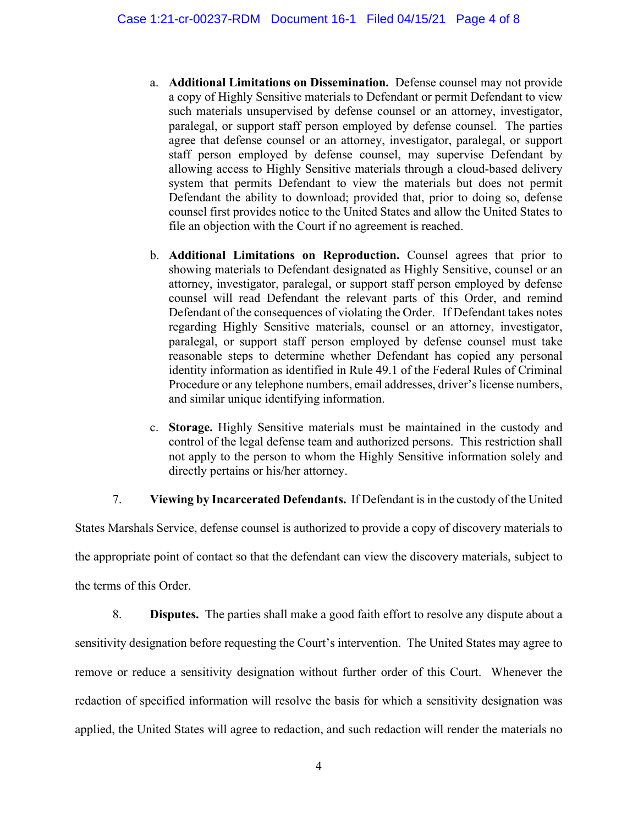- a. **Additional Limitations on Dissemination.** Defense counsel may not provide a copy of Highly Sensitive materials to Defendant or permit Defendant to view such materials unsupervised by defense counsel or an attorney, investigator, paralegal, or support staff person employed by defense counsel. The parties agree that defense counsel or an attorney, investigator, paralegal, or support staff person employed by defense counsel, may supervise Defendant by allowing access to Highly Sensitive materials through a cloud-based delivery system that permits Defendant to view the materials but does not permit Defendant the ability to download; provided that, prior to doing so, defense counsel first provides notice to the United States and allow the United States to file an objection with the Court if no agreement is reached.
- b. **Additional Limitations on Reproduction.** Counsel agrees that prior to showing materials to Defendant designated as Highly Sensitive, counsel or an attorney, investigator, paralegal, or support staff person employed by defense counsel will read Defendant the relevant parts of this Order, and remind Defendant of the consequences of violating the Order. If Defendant takes notes regarding Highly Sensitive materials, counsel or an attorney, investigator, paralegal, or support staff person employed by defense counsel must take reasonable steps to determine whether Defendant has copied any personal identity information as identified in Rule 49.1 of the Federal Rules of Criminal Procedure or any telephone numbers, email addresses, driver's license numbers, and similar unique identifying information.
- c. **Storage.** Highly Sensitive materials must be maintained in the custody and control of the legal defense team and authorized persons. This restriction shall not apply to the person to whom the Highly Sensitive information solely and directly pertains or his/her attorney.

7. **Viewing by Incarcerated Defendants.** If Defendant is in the custody of the United

States Marshals Service, defense counsel is authorized to provide a copy of discovery materials to the appropriate point of contact so that the defendant can view the discovery materials, subject to the terms of this Order.

8. **Disputes.** The parties shall make a good faith effort to resolve any dispute about a sensitivity designation before requesting the Court's intervention. The United States may agree to remove or reduce a sensitivity designation without further order of this Court. Whenever the redaction of specified information will resolve the basis for which a sensitivity designation was applied, the United States will agree to redaction, and such redaction will render the materials no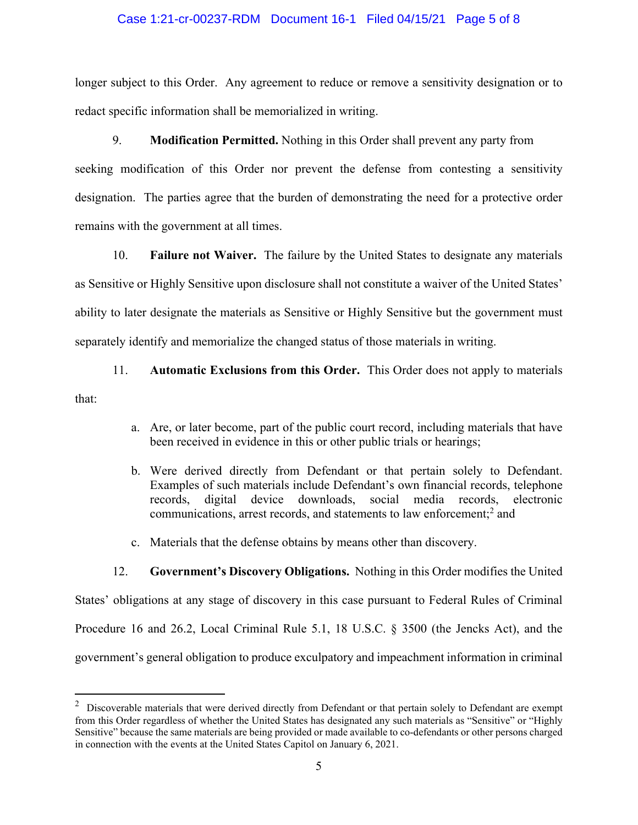### Case 1:21-cr-00237-RDM Document 16-1 Filed 04/15/21 Page 5 of 8

longer subject to this Order. Any agreement to reduce or remove a sensitivity designation or to redact specific information shall be memorialized in writing.

### 9. **Modification Permitted.** Nothing in this Order shall prevent any party from

seeking modification of this Order nor prevent the defense from contesting a sensitivity designation. The parties agree that the burden of demonstrating the need for a protective order remains with the government at all times.

10. **Failure not Waiver.** The failure by the United States to designate any materials as Sensitive or Highly Sensitive upon disclosure shall not constitute a waiver of the United States' ability to later designate the materials as Sensitive or Highly Sensitive but the government must separately identify and memorialize the changed status of those materials in writing.

# 11. **Automatic Exclusions from this Order.** This Order does not apply to materials that:

- a. Are, or later become, part of the public court record, including materials that have been received in evidence in this or other public trials or hearings;
- b. Were derived directly from Defendant or that pertain solely to Defendant. Examples of such materials include Defendant's own financial records, telephone records, digital device downloads, social media records, electronic communications, arrest records, and statements to law enforcement;<sup>2</sup> and
- c. Materials that the defense obtains by means other than discovery.

# 12. **Government's Discovery Obligations.** Nothing in this Order modifies the United States' obligations at any stage of discovery in this case pursuant to Federal Rules of Criminal Procedure 16 and 26.2, Local Criminal Rule 5.1, 18 U.S.C. § 3500 (the Jencks Act), and the government's general obligation to produce exculpatory and impeachment information in criminal

 $2$  Discoverable materials that were derived directly from Defendant or that pertain solely to Defendant are exempt from this Order regardless of whether the United States has designated any such materials as "Sensitive" or "Highly Sensitive" because the same materials are being provided or made available to co-defendants or other persons charged in connection with the events at the United States Capitol on January 6, 2021.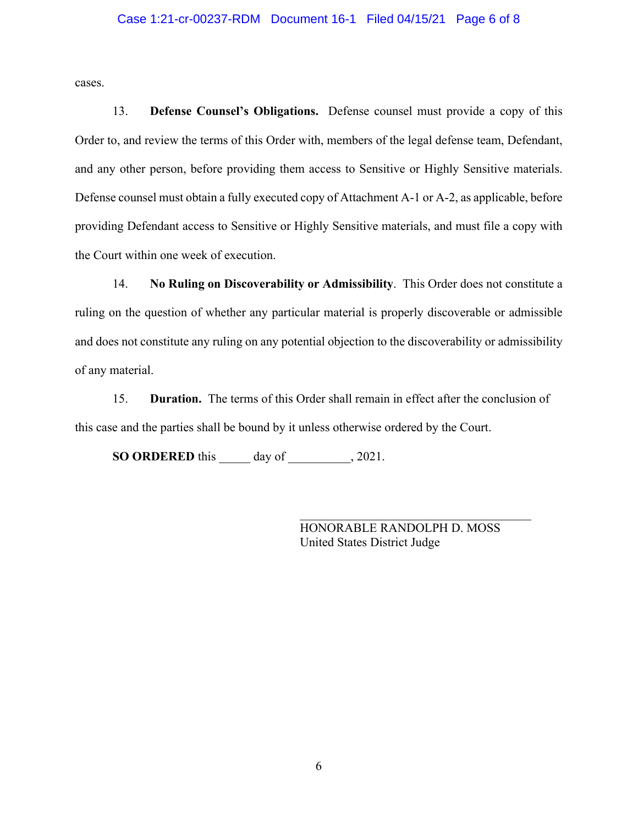### Case 1:21-cr-00237-RDM Document 16-1 Filed 04/15/21 Page 6 of 8

cases.

13. **Defense Counsel's Obligations.** Defense counsel must provide a copy of this Order to, and review the terms of this Order with, members of the legal defense team, Defendant, and any other person, before providing them access to Sensitive or Highly Sensitive materials. Defense counsel must obtain a fully executed copy of Attachment A-1 or A-2, as applicable, before providing Defendant access to Sensitive or Highly Sensitive materials, and must file a copy with the Court within one week of execution.

14. **No Ruling on Discoverability or Admissibility**. This Order does not constitute a ruling on the question of whether any particular material is properly discoverable or admissible and does not constitute any ruling on any potential objection to the discoverability or admissibility of any material.

15. **Duration.** The terms of this Order shall remain in effect after the conclusion of this case and the parties shall be bound by it unless otherwise ordered by the Court.

**SO ORDERED** this \_\_\_\_\_ day of \_\_\_\_\_\_\_\_, 2021.

HONORABLE RANDOLPH D. MOSS United States District Judge

6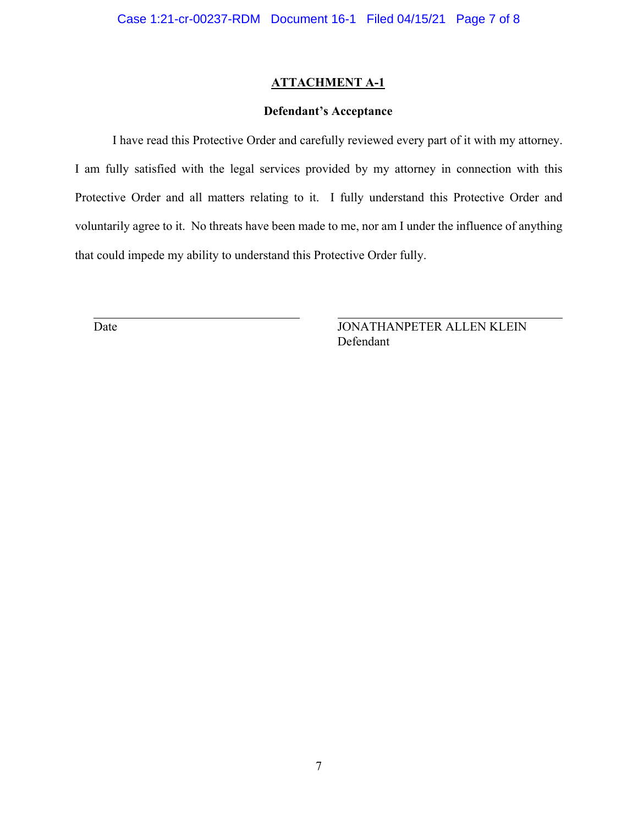### **ATTACHMENT A-1**

## **Defendant's Acceptance**

I have read this Protective Order and carefully reviewed every part of it with my attorney. I am fully satisfied with the legal services provided by my attorney in connection with this Protective Order and all matters relating to it. I fully understand this Protective Order and voluntarily agree to it. No threats have been made to me, nor am I under the influence of anything that could impede my ability to understand this Protective Order fully.

l

Date JONATHANPETER ALLEN KLEIN Defendant